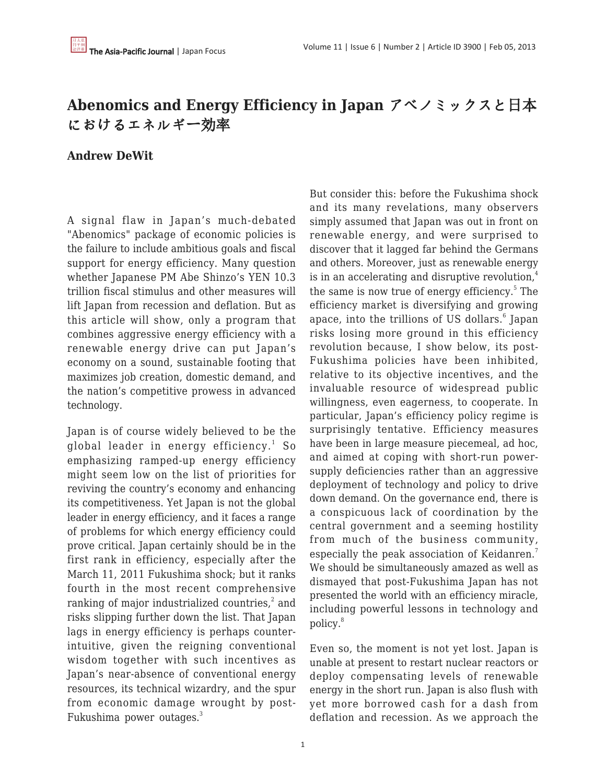# **Abenomics and Energy Efficiency in Japan** アベノミックスと日本 におけるエネルギー効率

## **Andrew DeWit**

A signal flaw in Japan's much-debated "Abenomics" package of economic policies is the failure to include ambitious goals and fiscal support for energy efficiency. Many question whether Japanese PM Abe Shinzo's YEN 10.3 trillion fiscal stimulus and other measures will lift Japan from recession and deflation. But as this article will show, only a program that combines aggressive energy efficiency with a renewable energy drive can put Japan's economy on a sound, sustainable footing that maximizes job creation, domestic demand, and the nation's competitive prowess in advanced technology.

Japan is of course widely believed to be the global leader in energy efficiency. $^{\rm 1}$  So emphasizing ramped-up energy efficiency might seem low on the list of priorities for reviving the country's economy and enhancing its competitiveness. Yet Japan is not the global leader in energy efficiency, and it faces a range of problems for which energy efficiency could prove critical. Japan certainly should be in the first rank in efficiency, especially after the March 11, 2011 Fukushima shock; but it ranks fourth in the most recent comprehensive ranking of major industrialized countries, $^{\text{2}}$  and risks slipping further down the list. That Japan lags in energy efficiency is perhaps counterintuitive, given the reigning conventional wisdom together with such incentives as Japan's near-absence of conventional energy resources, its technical wizardry, and the spur from economic damage wrought by post-Fukushima power outages.<sup>3</sup>

But consider this: before the Fukushima shock and its many revelations, many observers simply assumed that Japan was out in front on renewable energy, and were surprised to discover that it lagged far behind the Germans and others. Moreover, just as renewable energy is in an accelerating and disruptive revolution, $4$ the same is now true of energy efficiency.<sup>5</sup> The efficiency market is diversifying and growing apace, into the trillions of US dollars.<sup>6</sup> Japan risks losing more ground in this efficiency revolution because, I show below, its post-Fukushima policies have been inhibited, relative to its objective incentives, and the invaluable resource of widespread public willingness, even eagerness, to cooperate. In particular, Japan's efficiency policy regime is surprisingly tentative. Efficiency measures have been in large measure piecemeal, ad hoc, and aimed at coping with short-run powersupply deficiencies rather than an aggressive deployment of technology and policy to drive down demand. On the governance end, there is a conspicuous lack of coordination by the central government and a seeming hostility from much of the business community, especially the peak association of Keidanren.<sup>7</sup> We should be simultaneously amazed as well as dismayed that post-Fukushima Japan has not presented the world with an efficiency miracle, including powerful lessons in technology and policy.<sup>8</sup>

Even so, the moment is not yet lost. Japan is unable at present to restart nuclear reactors or deploy compensating levels of renewable energy in the short run. Japan is also flush with yet more borrowed cash for a dash from deflation and recession. As we approach the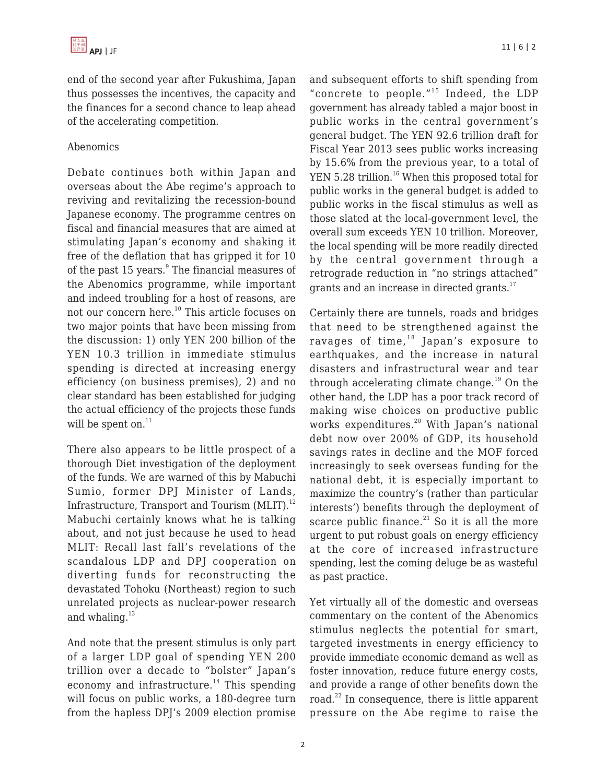end of the second year after Fukushima, Japan thus possesses the incentives, the capacity and the finances for a second chance to leap ahead of the accelerating competition.

## Abenomics

Debate continues both within Japan and overseas about the Abe regime's approach to reviving and revitalizing the recession-bound Japanese economy. The programme centres on fiscal and financial measures that are aimed at stimulating Japan's economy and shaking it free of the deflation that has gripped it for 10 of the past 15 years.<sup>9</sup> The financial measures of the Abenomics programme, while important and indeed troubling for a host of reasons, are not our concern here.<sup>10</sup> This article focuses on two major points that have been missing from the discussion: 1) only YEN 200 billion of the YEN 10.3 trillion in immediate stimulus spending is directed at increasing energy efficiency (on business premises), 2) and no clear standard has been established for judging the actual efficiency of the projects these funds will be spent on. $^{11}$ 

There also appears to be little prospect of a thorough Diet investigation of the deployment of the funds. We are warned of this by Mabuchi Sumio, former DPJ Minister of Lands, Infrastructure, Transport and Tourism  $(MLIT).<sup>12</sup>$ Mabuchi certainly knows what he is talking about, and not just because he used to head MLIT: Recall last fall's revelations of the scandalous LDP and DPJ cooperation on diverting funds for reconstructing the devastated Tohoku (Northeast) region to such unrelated projects as nuclear-power research and whaling.<sup>13</sup>

And note that the present stimulus is only part of a larger LDP goal of spending YEN 200 trillion over a decade to "bolster" Japan's economy and infrastructure.<sup>14</sup> This spending will focus on public works, a 180-degree turn from the hapless DPJ's 2009 election promise and subsequent efforts to shift spending from "concrete to people."<sup>15</sup> Indeed, the LDP government has already tabled a major boost in public works in the central government's general budget. The YEN 92.6 trillion draft for Fiscal Year 2013 sees public works increasing by 15.6% from the previous year, to a total of YEN 5.28 trillion.<sup>16</sup> When this proposed total for public works in the general budget is added to public works in the fiscal stimulus as well as those slated at the local-government level, the overall sum exceeds YEN 10 trillion. Moreover, the local spending will be more readily directed by the central government through a retrograde reduction in "no strings attached" grants and an increase in directed grants.<sup>17</sup>

Certainly there are tunnels, roads and bridges that need to be strengthened against the ravages of time, $18$  Japan's exposure to earthquakes, and the increase in natural disasters and infrastructural wear and tear through accelerating climate change.<sup>19</sup> On the other hand, the LDP has a poor track record of making wise choices on productive public works expenditures.<sup>20</sup> With Japan's national debt now over 200% of GDP, its household savings rates in decline and the MOF forced increasingly to seek overseas funding for the national debt, it is especially important to maximize the country's (rather than particular interests') benefits through the deployment of scarce public finance. $^{21}$  So it is all the more urgent to put robust goals on energy efficiency at the core of increased infrastructure spending, lest the coming deluge be as wasteful as past practice.

Yet virtually all of the domestic and overseas commentary on the content of the Abenomics stimulus neglects the potential for smart, targeted investments in energy efficiency to provide immediate economic demand as well as foster innovation, reduce future energy costs, and provide a range of other benefits down the road. $^{22}$  In consequence, there is little apparent pressure on the Abe regime to raise the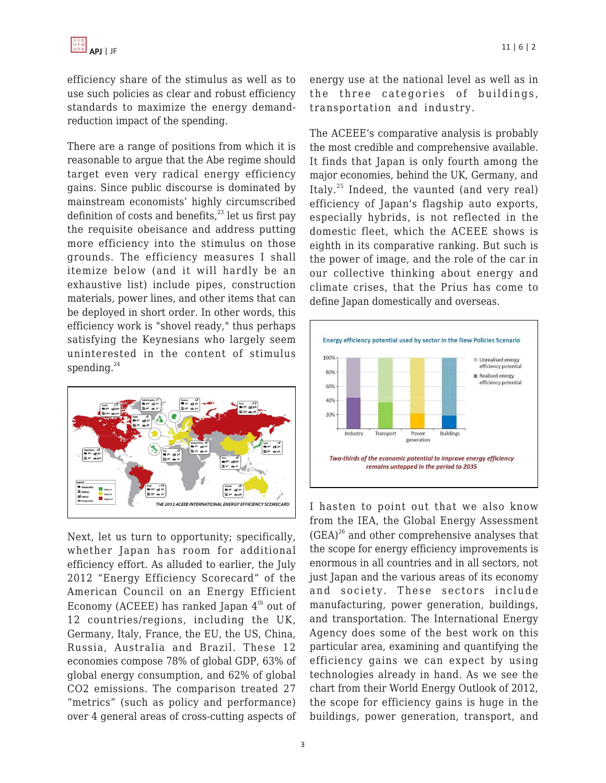efficiency share of the stimulus as well as to use such policies as clear and robust efficiency standards to maximize the energy demandreduction impact of the spending.

There are a range of positions from which it is reasonable to argue that the Abe regime should target even very radical energy efficiency gains. Since public discourse is dominated by mainstream economists' highly circumscribed definition of costs and benefits, $^{23}$  let us first pay the requisite obeisance and address putting more efficiency into the stimulus on those grounds. The efficiency measures I shall itemize below (and it will hardly be an exhaustive list) include pipes, construction materials, power lines, and other items that can be deployed in short order. In other words, this efficiency work is "shovel ready," thus perhaps satisfying the Keynesians who largely seem uninterested in the content of stimulus spending. $^{24}$ 



Next, let us turn to opportunity; specifically, whether Japan has room for additional efficiency effort. As alluded to earlier, the July 2012 "Energy Efficiency Scorecard" of the American Council on an Energy Efficient Economy (ACEEE) has ranked Japan  $4<sup>th</sup>$  out of 12 countries/regions, including the UK, Germany, Italy, France, the EU, the US, China, Russia, Australia and Brazil. These 12 economies compose 78% of global GDP, 63% of global energy consumption, and 62% of global CO2 emissions. The comparison treated 27 "metrics" (such as policy and performance) over 4 general areas of cross-cutting aspects of energy use at the national level as well as in the three categories of buildings, transportation and industry.

The ACEEE's comparative analysis is probably the most credible and comprehensive available. It finds that Japan is only fourth among the major economies, behind the UK, Germany, and Italy.<sup>25</sup> Indeed, the vaunted (and very real) efficiency of Japan's flagship auto exports, especially hybrids, is not reflected in the domestic fleet, which the ACEEE shows is eighth in its comparative ranking. But such is the power of image, and the role of the car in our collective thinking about energy and climate crises, that the Prius has come to define Japan domestically and overseas.



I hasten to point out that we also know from the IEA, the Global Energy Assessment  $(GEA)^{26}$  and other comprehensive analyses that the scope for energy efficiency improvements is enormous in all countries and in all sectors, not just Japan and the various areas of its economy and society. These sectors include manufacturing, power generation, buildings, and transportation. The International Energy Agency does some of the best work on this particular area, examining and quantifying the efficiency gains we can expect by using technologies already in hand. As we see the chart from their World Energy Outlook of 2012, the scope for efficiency gains is huge in the buildings, power generation, transport, and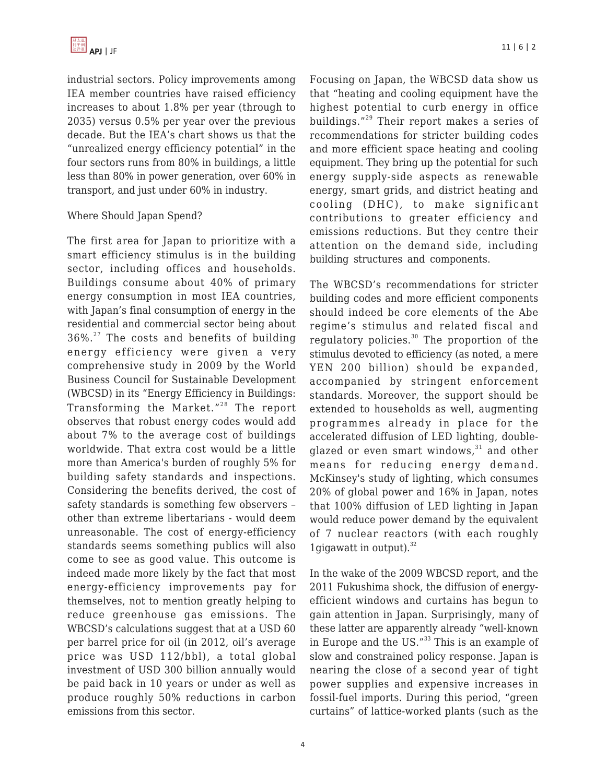industrial sectors. Policy improvements among IEA member countries have raised efficiency increases to about 1.8% per year (through to 2035) versus 0.5% per year over the previous decade. But the IEA's chart shows us that the "unrealized energy efficiency potential" in the four sectors runs from 80% in buildings, a little less than 80% in power generation, over 60% in transport, and just under 60% in industry.

### Where Should Japan Spend?

The first area for Japan to prioritize with a smart efficiency stimulus is in the building sector, including offices and households. Buildings consume about 40% of primary energy consumption in most IEA countries, with Japan's final consumption of energy in the residential and commercial sector being about  $36\%$ <sup>27</sup> The costs and benefits of building energy efficiency were given a very comprehensive study in 2009 by the World Business Council for Sustainable Development (WBCSD) in its "Energy Efficiency in Buildings: Transforming the Market."<sup>28</sup> The report observes that robust energy codes would add about 7% to the average cost of buildings worldwide. That extra cost would be a little more than America's burden of roughly 5% for building safety standards and inspections. Considering the benefits derived, the cost of safety standards is something few observers – other than extreme libertarians - would deem unreasonable. The cost of energy-efficiency standards seems something publics will also come to see as good value. This outcome is indeed made more likely by the fact that most energy-efficiency improvements pay for themselves, not to mention greatly helping to reduce greenhouse gas emissions. The WBCSD's calculations suggest that at a USD 60 per barrel price for oil (in 2012, oil's average price was USD 112/bbl), a total global investment of USD 300 billion annually would be paid back in 10 years or under as well as produce roughly 50% reductions in carbon emissions from this sector.

Focusing on Japan, the WBCSD data show us that "heating and cooling equipment have the highest potential to curb energy in office buildings."<sup>29</sup> Their report makes a series of recommendations for stricter building codes and more efficient space heating and cooling equipment. They bring up the potential for such energy supply-side aspects as renewable energy, smart grids, and district heating and cooling (DHC), to make significant contributions to greater efficiency and emissions reductions. But they centre their attention on the demand side, including building structures and components.

The WBCSD's recommendations for stricter building codes and more efficient components should indeed be core elements of the Abe regime's stimulus and related fiscal and regulatory policies. $30$  The proportion of the stimulus devoted to efficiency (as noted, a mere YEN 200 billion) should be expanded, accompanied by stringent enforcement standards. Moreover, the support should be extended to households as well, augmenting programmes already in place for the accelerated diffusion of LED lighting, doubleglazed or even smart windows, $31$  and other means for reducing energy demand. McKinsey's study of lighting, which consumes 20% of global power and 16% in Japan, notes that 100% diffusion of LED lighting in Japan would reduce power demand by the equivalent of 7 nuclear reactors (with each roughly 1 gigawatt in output). $32$ 

In the wake of the 2009 WBCSD report, and the 2011 Fukushima shock, the diffusion of energyefficient windows and curtains has begun to gain attention in Japan. Surprisingly, many of these latter are apparently already "well-known in Europe and the US."<sup>33</sup> This is an example of slow and constrained policy response. Japan is nearing the close of a second year of tight power supplies and expensive increases in fossil-fuel imports. During this period, "green curtains" of lattice-worked plants (such as the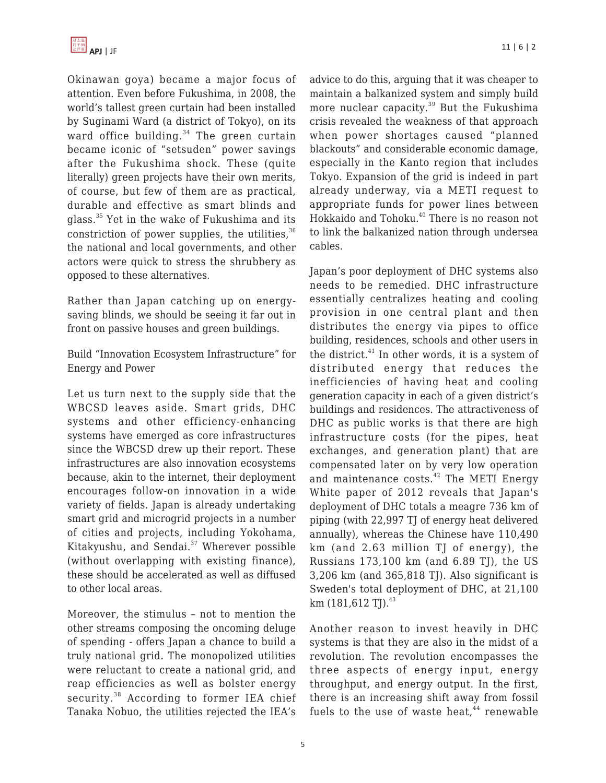Okinawan goya) became a major focus of attention. Even before Fukushima, in 2008, the world's tallest green curtain had been installed by Suginami Ward (a district of Tokyo), on its ward office building. $34$  The green curtain became iconic of "setsuden" power savings after the Fukushima shock. These (quite literally) green projects have their own merits, of course, but few of them are as practical, durable and effective as smart blinds and glass.<sup>35</sup> Yet in the wake of Fukushima and its constriction of power supplies, the utilities,  $36$ the national and local governments, and other actors were quick to stress the shrubbery as opposed to these alternatives.

Rather than Japan catching up on energysaving blinds, we should be seeing it far out in front on passive houses and green buildings.

Build "Innovation Ecosystem Infrastructure" for Energy and Power

Let us turn next to the supply side that the WBCSD leaves aside. Smart grids, DHC systems and other efficiency-enhancing systems have emerged as core infrastructures since the WBCSD drew up their report. These infrastructures are also innovation ecosystems because, akin to the internet, their deployment encourages follow-on innovation in a wide variety of fields. Japan is already undertaking smart grid and microgrid projects in a number of cities and projects, including Yokohama, Kitakyushu, and Sendai.<sup>37</sup> Wherever possible (without overlapping with existing finance), these should be accelerated as well as diffused to other local areas.

Moreover, the stimulus – not to mention the other streams composing the oncoming deluge of spending - offers Japan a chance to build a truly national grid. The monopolized utilities were reluctant to create a national grid, and reap efficiencies as well as bolster energy security.<sup>38</sup> According to former IEA chief Tanaka Nobuo, the utilities rejected the IEA's advice to do this, arguing that it was cheaper to maintain a balkanized system and simply build more nuclear capacity.<sup>39</sup> But the Fukushima crisis revealed the weakness of that approach when power shortages caused "planned blackouts" and considerable economic damage, especially in the Kanto region that includes Tokyo. Expansion of the grid is indeed in part already underway, via a METI request to appropriate funds for power lines between Hokkaido and Tohoku. $^{40}$  There is no reason not to link the balkanized nation through undersea cables.

Japan's poor deployment of DHC systems also needs to be remedied. DHC infrastructure essentially centralizes heating and cooling provision in one central plant and then distributes the energy via pipes to office building, residences, schools and other users in the district. $41$  In other words, it is a system of distributed energy that reduces the inefficiencies of having heat and cooling generation capacity in each of a given district's buildings and residences. The attractiveness of DHC as public works is that there are high infrastructure costs (for the pipes, heat exchanges, and generation plant) that are compensated later on by very low operation and maintenance costs. $42$  The METI Energy White paper of 2012 reveals that Japan's deployment of DHC totals a meagre 736 km of piping (with 22,997 TJ of energy heat delivered annually), whereas the Chinese have 110,490 km (and 2.63 million TJ of energy), the Russians 173,100 km (and 6.89 TJ), the US 3,206 km (and 365,818 TJ). Also significant is Sweden's total deployment of DHC, at 21,100 km  $(181,612 \text{ TJ})$ .<sup>43</sup>

Another reason to invest heavily in DHC systems is that they are also in the midst of a revolution. The revolution encompasses the three aspects of energy input, energy throughput, and energy output. In the first, there is an increasing shift away from fossil fuels to the use of waste heat, $44$  renewable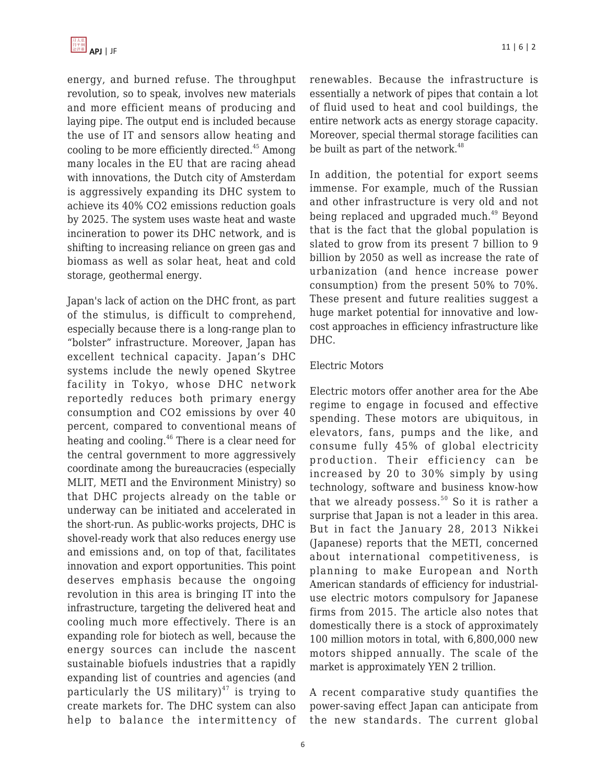

energy, and burned refuse. The throughput revolution, so to speak, involves new materials and more efficient means of producing and laying pipe. The output end is included because the use of IT and sensors allow heating and cooling to be more efficiently directed. $45$  Among many locales in the EU that are racing ahead with innovations, the Dutch city of Amsterdam is aggressively expanding its DHC system to achieve its 40% CO2 emissions reduction goals by 2025. The system uses waste heat and waste incineration to power its DHC network, and is shifting to increasing reliance on green gas and biomass as well as solar heat, heat and cold storage, geothermal energy.

Japan's lack of action on the DHC front, as part of the stimulus, is difficult to comprehend, especially because there is a long-range plan to "bolster" infrastructure. Moreover, Japan has excellent technical capacity. Japan's DHC systems include the newly opened Skytree facility in Tokyo, whose DHC network reportedly reduces both primary energy consumption and CO2 emissions by over 40 percent, compared to conventional means of heating and cooling.<sup>46</sup> There is a clear need for the central government to more aggressively coordinate among the bureaucracies (especially MLIT, METI and the Environment Ministry) so that DHC projects already on the table or underway can be initiated and accelerated in the short-run. As public-works projects, DHC is shovel-ready work that also reduces energy use and emissions and, on top of that, facilitates innovation and export opportunities. This point deserves emphasis because the ongoing revolution in this area is bringing IT into the infrastructure, targeting the delivered heat and cooling much more effectively. There is an expanding role for biotech as well, because the energy sources can include the nascent sustainable biofuels industries that a rapidly expanding list of countries and agencies (and particularly the US military) $47$  is trying to create markets for. The DHC system can also help to balance the intermittency of renewables. Because the infrastructure is essentially a network of pipes that contain a lot of fluid used to heat and cool buildings, the entire network acts as energy storage capacity. Moreover, special thermal storage facilities can be built as part of the network. $48$ 

In addition, the potential for export seems immense. For example, much of the Russian and other infrastructure is very old and not being replaced and upgraded much.<sup>49</sup> Beyond that is the fact that the global population is slated to grow from its present 7 billion to 9 billion by 2050 as well as increase the rate of urbanization (and hence increase power consumption) from the present 50% to 70%. These present and future realities suggest a huge market potential for innovative and lowcost approaches in efficiency infrastructure like DHC.

### Electric Motors

Electric motors offer another area for the Abe regime to engage in focused and effective spending. These motors are ubiquitous, in elevators, fans, pumps and the like, and consume fully 45% of global electricity production. Their efficiency can be increased by 20 to 30% simply by using technology, software and business know-how that we already possess. $50$  So it is rather a surprise that Japan is not a leader in this area. But in fact the January 28, 2013 Nikkei (Japanese) reports that the METI, concerned about international competitiveness, is planning to make European and North American standards of efficiency for industrialuse electric motors compulsory for Japanese firms from 2015. The article also notes that domestically there is a stock of approximately 100 million motors in total, with 6,800,000 new motors shipped annually. The scale of the market is approximately YEN 2 trillion.

A recent comparative study quantifies the power-saving effect Japan can anticipate from the new standards. The current global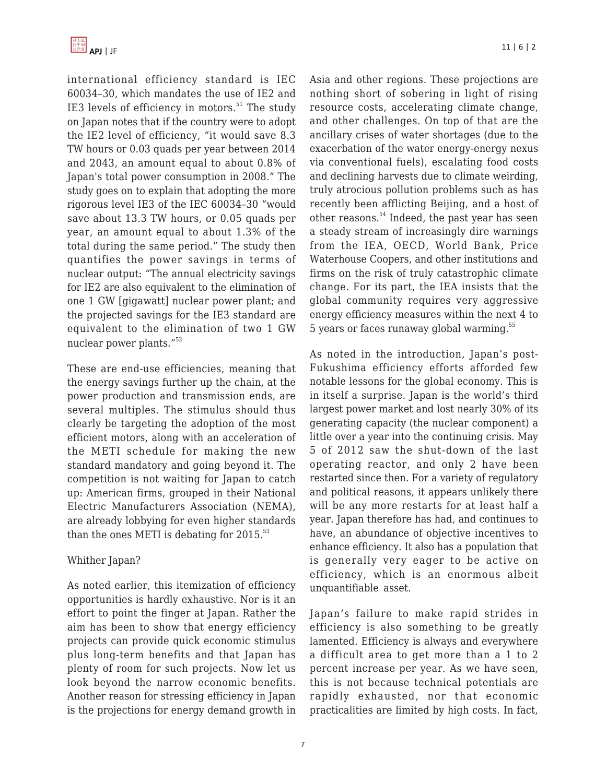

international efficiency standard is IEC 60034–30, which mandates the use of IE2 and IE3 levels of efficiency in motors. $51$  The study on Japan notes that if the country were to adopt the IE2 level of efficiency, "it would save 8.3 TW hours or 0.03 quads per year between 2014 and 2043, an amount equal to about 0.8% of Japan's total power consumption in 2008." The study goes on to explain that adopting the more rigorous level IE3 of the IEC 60034–30 "would save about 13.3 TW hours, or 0.05 quads per year, an amount equal to about 1.3% of the total during the same period." The study then quantifies the power savings in terms of nuclear output: "The annual electricity savings for IE2 are also equivalent to the elimination of one 1 GW [gigawatt] nuclear power plant; and the projected savings for the IE3 standard are equivalent to the elimination of two 1 GW nuclear power plants."<sup>52</sup>

These are end-use efficiencies, meaning that the energy savings further up the chain, at the power production and transmission ends, are several multiples. The stimulus should thus clearly be targeting the adoption of the most efficient motors, along with an acceleration of the METI schedule for making the new standard mandatory and going beyond it. The competition is not waiting for Japan to catch up: American firms, grouped in their National Electric Manufacturers Association (NEMA), are already lobbying for even higher standards than the ones METI is debating for  $2015$ .<sup>53</sup>

#### Whither Japan?

As noted earlier, this itemization of efficiency opportunities is hardly exhaustive. Nor is it an effort to point the finger at Japan. Rather the aim has been to show that energy efficiency projects can provide quick economic stimulus plus long-term benefits and that Japan has plenty of room for such projects. Now let us look beyond the narrow economic benefits. Another reason for stressing efficiency in Japan is the projections for energy demand growth in Asia and other regions. These projections are nothing short of sobering in light of rising resource costs, accelerating climate change, and other challenges. On top of that are the ancillary crises of water shortages (due to the exacerbation of the water energy-energy nexus via conventional fuels), escalating food costs and declining harvests due to climate weirding, truly atrocious pollution problems such as has recently been afflicting Beijing, and a host of other reasons.<sup>54</sup> Indeed, the past year has seen a steady stream of increasingly dire warnings from the IEA, OECD, World Bank, Price Waterhouse Coopers, and other institutions and firms on the risk of truly catastrophic climate change. For its part, the IEA insists that the global community requires very aggressive energy efficiency measures within the next 4 to 5 years or faces runaway global warming.<sup>55</sup>

As noted in the introduction, Japan's post-Fukushima efficiency efforts afforded few notable lessons for the global economy. This is in itself a surprise. Japan is the world's third largest power market and lost nearly 30% of its generating capacity (the nuclear component) a little over a year into the continuing crisis. May 5 of 2012 saw the shut-down of the last operating reactor, and only 2 have been restarted since then. For a variety of regulatory and political reasons, it appears unlikely there will be any more restarts for at least half a year. Japan therefore has had, and continues to have, an abundance of objective incentives to enhance efficiency. It also has a population that is generally very eager to be active on efficiency, which is an enormous albeit unquantifiable asset.

Japan's failure to make rapid strides in efficiency is also something to be greatly lamented. Efficiency is always and everywhere a difficult area to get more than a 1 to 2 percent increase per year. As we have seen, this is not because technical potentials are rapidly exhausted, nor that economic practicalities are limited by high costs. In fact,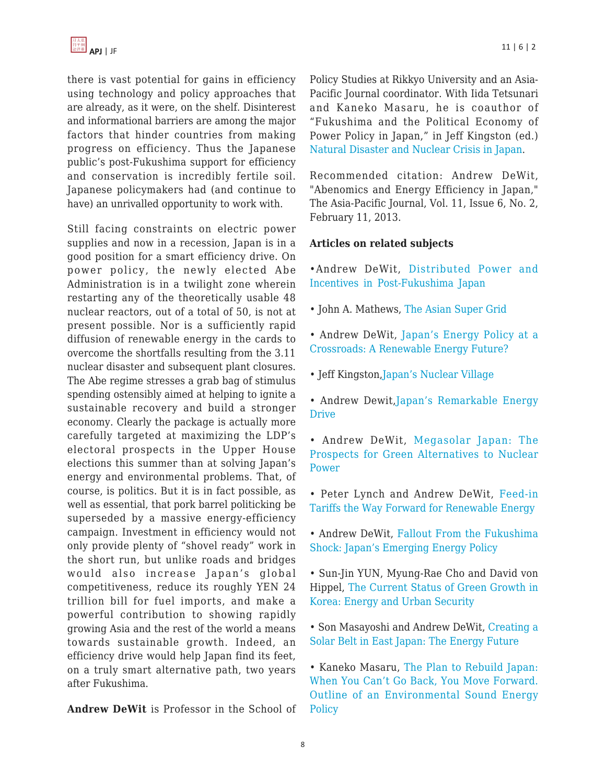there is vast potential for gains in efficiency using technology and policy approaches that are already, as it were, on the shelf. Disinterest and informational barriers are among the major factors that hinder countries from making progress on efficiency. Thus the Japanese public's post-Fukushima support for efficiency and conservation is incredibly fertile soil. Japanese policymakers had (and continue to have) an unrivalled opportunity to work with.

Still facing constraints on electric power supplies and now in a recession, Japan is in a good position for a smart efficiency drive. On power policy, the newly elected Abe Administration is in a twilight zone wherein restarting any of the theoretically usable 48 nuclear reactors, out of a total of 50, is not at present possible. Nor is a sufficiently rapid diffusion of renewable energy in the cards to overcome the shortfalls resulting from the 3.11 nuclear disaster and subsequent plant closures. The Abe regime stresses a grab bag of stimulus spending ostensibly aimed at helping to ignite a sustainable recovery and build a stronger economy. Clearly the package is actually more carefully targeted at maximizing the LDP's electoral prospects in the Upper House elections this summer than at solving Japan's energy and environmental problems. That, of course, is politics. But it is in fact possible, as well as essential, that pork barrel politicking be superseded by a massive energy-efficiency campaign. Investment in efficiency would not only provide plenty of "shovel ready" work in the short run, but unlike roads and bridges would also increase Japan's global competitiveness, reduce its roughly YEN 24 trillion bill for fuel imports, and make a powerful contribution to showing rapidly growing Asia and the rest of the world a means towards sustainable growth. Indeed, an efficiency drive would help Japan find its feet, on a truly smart alternative path, two years after Fukushima.

**Andrew DeWit** is Professor in the School of

Policy Studies at Rikkyo University and an Asia-Pacific Journal coordinator. With Iida Tetsunari and Kaneko Masaru, he is coauthor of "Fukushima and the Political Economy of Power Policy in Japan," in Jeff Kingston (ed.) [Natural Disaster and Nuclear Crisis in Japan.](http://www.google.com/products/catalog?q=Natural+Disaster+and+Nuclear+Crisis+in+Japan&hl=en&client=firefox-a&hs=uTt&rls=org.mozilla:en-US:official&prmd=imvnsu&biw=775&bih=766&um=1&ie=UTF-8&tbm=shop&cid=5133555336218833864&sa=X&ei=7hBiT6bdK8X50gGRieStCA&ved=0CGYQ8wIwAA)

Recommended citation: Andrew DeWit, "Abenomics and Energy Efficiency in Japan," The Asia-Pacific Journal, Vol. 11, Issue 6, No. 2, February 11, 2013.

## **Articles on related subjects**

- •Andrew DeWit, [Distributed Power and](https://apjjf.org/-Andrew-DeWit/3861) [Incentives in Post-Fukushima Japan](https://apjjf.org/-Andrew-DeWit/3861)
- John A. Mathews, [The Asian Super Grid](https://apjjf.org/-John_A_-Mathews/3858)
- Andrew DeWit, [Japan's Energy Policy at a](https://apjjf.org/-Andrew-DeWit/3831) [Crossroads: A Renewable Energy Future?](https://apjjf.org/-Andrew-DeWit/3831)
- Jeff Kingston,[Japan's Nuclear Village](https://apjjf.org/-Jeff-Kingston/3822)
- Andrew Dewit, Japan's Remarkable Energy [Drive](https://apjjf.org/-Jeff-Kingston/3822)
- Andrew DeWit, [Megasolar Japan: The](https://apjjf.org/-Andrew-DeWit/3679) [Prospects for Green Alternatives to Nuclear](https://apjjf.org/-Andrew-DeWit/3679) [Power](https://apjjf.org/-Andrew-DeWit/3679)
- Peter Lynch and Andrew DeWit, [Feed-in](https://apjjf.org/-Peter-Lynch/3654) [Tariffs the Way Forward for Renewable Energy](https://apjjf.org/-Peter-Lynch/3654)
- Andrew DeWit, [Fallout From the Fukushima](https://apjjf.org/-Andrew-DeWit/3645) [Shock: Japan's Emerging Energy Policy](https://apjjf.org/-Andrew-DeWit/3645)
- Sun-Jin YUN, Myung-Rae Cho and David von Hippel, [The Current Status of Green Growth in](https://apjjf.org/-Sun_Jin-YUN/3628) [Korea: Energy and Urban Security](https://apjjf.org/-Sun_Jin-YUN/3628)
- Son Masayoshi and Andrew DeWit, [Creating a](https://apjjf.org/-Andrew-DeWit/3603) [Solar Belt in East Japan: The Energy Future](https://apjjf.org/-Andrew-DeWit/3603)
- Kaneko Masaru, [The Plan to Rebuild Japan:](https://apjjf.org/-Kaneko-Masaru/3508) [When You Can't Go Back, You Move Forward.](https://apjjf.org/-Kaneko-Masaru/3508) [Outline of an Environmental Sound Energy](https://apjjf.org/-Kaneko-Masaru/3508) **[Policy](https://apjjf.org/-Kaneko-Masaru/3508)**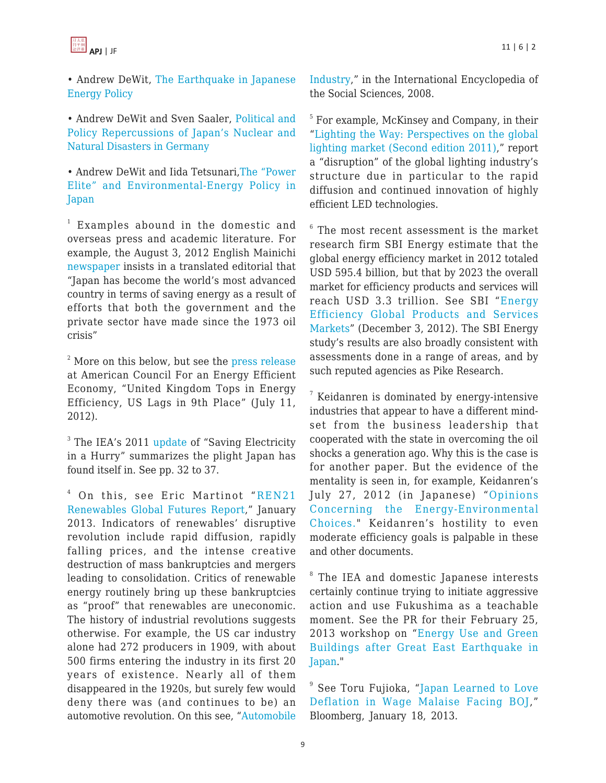

• Andrew DeWit, [The Earthquake in Japanese](https://apjjf.org/-Andrew-DeWit/3501) [Energy Policy](https://apjjf.org/-Andrew-DeWit/3501)

• Andrew DeWit and Sven Saaler, [Political and](https://apjjf.org/-Andrew-DeWit/3525) [Policy Repercussions of Japan's Nuclear and](https://apjjf.org/-Andrew-DeWit/3525) [Natural Disasters in Germany](https://apjjf.org/-Andrew-DeWit/3525)

• Andrew DeWit and Iida Tetsunari[,The "Power](https://apjjf.org/-Iida-Tetsunari/3479) [Elite" and Environmental-Energy Policy in](https://apjjf.org/-Iida-Tetsunari/3479) [Japan](https://apjjf.org/-Iida-Tetsunari/3479)

1 Examples abound in the domestic and overseas press and academic literature. For example, the August 3, 2012 English Mainichi [newspaper](http://mainichi.jp/english/english/perspectives/news/20120803p2a00m0na001000c.html) insists in a translated editorial that "Japan has become the world's most advanced country in terms of saving energy as a result of efforts that both the government and the private sector have made since the 1973 oil crisis"

 $2^2$  More on this below, but see the [press release](http://www.aceee.org/press/2012/07/aceee-united-kingdom-tops-energy-eff) at American Council For an Energy Efficient Economy, "United Kingdom Tops in Energy Efficiency, US Lags in 9th Place" (July 11, 2012).

<sup>3</sup> The IEA's 2011 [update](http://www.iea.org/publications/freepublications/publication/Saving_Electricity-1.pdf) of "Saving Electricity in a Hurry" summarizes the plight Japan has found itself in. See pp. 32 to 37.

 $4$  On this, see Eric Martinot "[REN21](http://www.ren21.net/REN21Activities/GlobalFuturesReport.aspx) [Renewables Global Futures Report,](http://www.ren21.net/REN21Activities/GlobalFuturesReport.aspx)" January 2013. Indicators of renewables' disruptive revolution include rapid diffusion, rapidly falling prices, and the intense creative destruction of mass bankruptcies and mergers leading to consolidation. Critics of renewable energy routinely bring up these bankruptcies as "proof" that renewables are uneconomic. The history of industrial revolutions suggests otherwise. For example, the US car industry alone had 272 producers in 1909, with about 500 firms entering the industry in its first 20 years of existence. Nearly all of them disappeared in the 1920s, but surely few would deny there was (and continues to be) an automotive revolution. On this see, ["Automobile](http://www.encyclopedia.com/topic/automobile_industry.aspx) [Industry](http://www.encyclopedia.com/topic/automobile_industry.aspx)," in the International Encyclopedia of the Social Sciences, 2008.

<sup>5</sup> For example, McKinsey and Company, in their "[Lighting the Way: Perspectives on the global](http://ja.scribd.com/doc/101616336/Lighting-the-Way) [lighting market \(Second edition 2011\),](http://ja.scribd.com/doc/101616336/Lighting-the-Way)" report a "disruption" of the global lighting industry's structure due in particular to the rapid diffusion and continued innovation of highly efficient LED technologies.

6 The most recent assessment is the market research firm SBI Energy estimate that the global energy efficiency market in 2012 totaled USD 595.4 billion, but that by 2023 the overall market for efficiency products and services will reach USD 3.3 trillion. See SBI "[Energy](http://www.sbireports.com/Energy-Efficiency-Global-7241617/) [Efficiency Global Products and Services](http://www.sbireports.com/Energy-Efficiency-Global-7241617/) [Markets"](http://www.sbireports.com/Energy-Efficiency-Global-7241617/) (December 3, 2012). The SBI Energy study's results are also broadly consistent with assessments done in a range of areas, and by such reputed agencies as Pike Research.

<sup>7</sup> Keidanren is dominated by energy-intensive industries that appear to have a different mindset from the business leadership that cooperated with the state in overcoming the oil shocks a generation ago. Why this is the case is for another paper. But the evidence of the mentality is seen in, for example, Keidanren's July 27, 2012 (in Japanese) "[Opinions](http://www.keidanren.or.jp/policy/2012/057.html) [Concerning the Energy-Environmental](http://www.keidanren.or.jp/policy/2012/057.html) [Choices.](http://www.keidanren.or.jp/policy/2012/057.html)" Keidanren's hostility to even moderate efficiency goals is palpable in these and other documents.

<sup>8</sup> The IEA and domestic Japanese interests certainly continue trying to initiate aggressive action and use Fukushima as a teachable moment. See the PR for their February 25, 2013 workshop on "[Energy Use and Green](http://www.iea.org/newsroomandevents/workshops/workshop/name,34712,en.html) [Buildings after Great East Earthquake in](http://www.iea.org/newsroomandevents/workshops/workshop/name,34712,en.html) [Japan](http://www.iea.org/newsroomandevents/workshops/workshop/name,34712,en.html)."

 $^\mathrm{\theta}$  See Toru Fujioka, "[Japan Learned to Love](http://www.bloomberg.com/news/2013-01-17/japan-learned-to-love-deflation-in-wage-malaise-challenging-boj.html) [Deflation in Wage Malaise Facing BOJ](http://www.bloomberg.com/news/2013-01-17/japan-learned-to-love-deflation-in-wage-malaise-challenging-boj.html)," Bloomberg, January 18, 2013.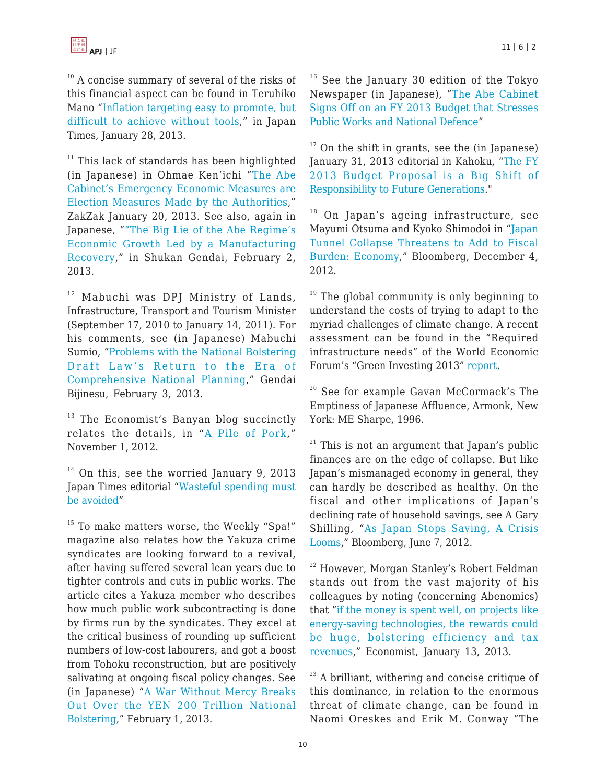<sup>10</sup> A concise summary of several of the risks of this financial aspect can be found in Teruhiko Mano "[Inflation targeting easy to promote, but](http://www.japantimes.co.jp/news/2013/01/28/business/inflation-targeting-easy-to-promote-but-difficult-to-achieve-without-tools/) [difficult to achieve without tools](http://www.japantimes.co.jp/news/2013/01/28/business/inflation-targeting-easy-to-promote-but-difficult-to-achieve-without-tools/)," in Japan Times, January 28, 2013.

 $11$  This lack of standards has been highlighted (in Japanese) in Ohmae Ken'ichi "[The Abe](http://www.zakzak.co.jp/economy/ecn-news/news/20130120/ecn1301200710001-n1.htm) [Cabinet's Emergency Economic Measures are](http://www.zakzak.co.jp/economy/ecn-news/news/20130120/ecn1301200710001-n1.htm) [Election Measures Made by the Authorities,](http://www.zakzak.co.jp/economy/ecn-news/news/20130120/ecn1301200710001-n1.htm)" ZakZak January 20, 2013. See also, again in Japanese, "["The Big Lie of the Abe Regime's](http://gendai.net/articles/view/syakai/140783) [Economic Growth Led by a Manufacturing](http://gendai.net/articles/view/syakai/140783) [Recovery](http://gendai.net/articles/view/syakai/140783)," in Shukan Gendai, February 2, 2013.

<sup>12</sup> Mabuchi was DPJ Ministry of Lands, Infrastructure, Transport and Tourism Minister (September 17, 2010 to January 14, 2011). For his comments, see (in Japanese) Mabuchi Sumio, ["Problems with the National Bolstering](http://gendai.ismedia.jp/articles/-/34711) [Draft Law's Return to the Era of](http://gendai.ismedia.jp/articles/-/34711) [Comprehensive National Planning,](http://gendai.ismedia.jp/articles/-/34711)" Gendai Bijinesu, February 3, 2013.

 $13$  The Economist's Banyan blog succinctly relates the details, in "[A Pile of Pork](rhttp://www.economist.com/blogs/banyan/2012/11/reconstruction-japan’s-disaste)," November 1, 2012.

 $14$  On this, see the worried January 9, 2013 Japan Times editorial "[Wasteful spending must](http://www.japantimes.co.jp/opinion/2013/01/09/editorials/wasteful-spending-must-be-avoided/) [be avoided](http://www.japantimes.co.jp/opinion/2013/01/09/editorials/wasteful-spending-must-be-avoided/)"

<sup>15</sup> To make matters worse, the Weekly "Spa!" magazine also relates how the Yakuza crime syndicates are looking forward to a revival, after having suffered several lean years due to tighter controls and cuts in public works. The article cites a Yakuza member who describes how much public work subcontracting is done by firms run by the syndicates. They excel at the critical business of rounding up sufficient numbers of low-cost labourers, and got a boost from Tohoku reconstruction, but are positively salivating at ongoing fiscal policy changes. See (in Japanese) "[A War Without Mercy Breaks](http://zasshi.news.yahoo.co.jp/article?a=20130201-00000501-sspa-soci) [Out Over the YEN 200 Trillion National](http://zasshi.news.yahoo.co.jp/article?a=20130201-00000501-sspa-soci) [Bolstering,](http://zasshi.news.yahoo.co.jp/article?a=20130201-00000501-sspa-soci)" February 1, 2013.

 $16$  See the January 30 edition of the Tokyo Newspaper (in Japanese), "[The Abe Cabinet](http://www.tokyo-np.co.jp/article/economics/news/CK2013013002000124.html) [Signs Off on an FY 2013 Budget that Stresses](http://www.tokyo-np.co.jp/article/economics/news/CK2013013002000124.html) [Public Works and National Defence"](http://www.tokyo-np.co.jp/article/economics/news/CK2013013002000124.html)

 $17$  On the shift in grants, see the (in Japanese) January 31, 2013 editorial in Kahoku, "[The FY](http://www.kahoku.co.jp/shasetsu/2013/01/20130131s01.htm) [2013 Budget Proposal is a Big Shift of](http://www.kahoku.co.jp/shasetsu/2013/01/20130131s01.htm) [Responsibility to Future Generations](http://www.kahoku.co.jp/shasetsu/2013/01/20130131s01.htm)."

 $18$  On Japan's ageing infrastructure, see Mayumi Otsuma and Kyoko Shimodoi in "[Japan](http://www.bloomberg.com/news/2012-12-04/japan-tunnel-collapse-shows-repair-urgency-as-abe-vows-funds-1-.html) [Tunnel Collapse Threatens to Add to Fiscal](http://www.bloomberg.com/news/2012-12-04/japan-tunnel-collapse-shows-repair-urgency-as-abe-vows-funds-1-.html) [Burden: Economy,](http://www.bloomberg.com/news/2012-12-04/japan-tunnel-collapse-shows-repair-urgency-as-abe-vows-funds-1-.html)" Bloomberg, December 4, 2012.

 $19$  The global community is only beginning to understand the costs of trying to adapt to the myriad challenges of climate change. A recent assessment can be found in the "Required infrastructure needs" of the World Economic Forum's "Green Investing 2013" [report](http://reports.weforum.org/green-investing-2013/view/required-infrastructure-needs/).

<sup>20</sup> See for example Gavan McCormack's The Emptiness of Japanese Affluence, Armonk, New York: ME Sharpe, 1996.

 $21$  This is not an argument that Japan's public finances are on the edge of collapse. But like Japan's mismanaged economy in general, they can hardly be described as healthy. On the fiscal and other implications of Japan's declining rate of household savings, see A Gary Shilling, "[As Japan Stops Saving, A Crisis](http://www.bloomberg.com/news/2012-06-06/as-japan-stops-saving-a-crisis-looms.html) [Looms,](http://www.bloomberg.com/news/2012-06-06/as-japan-stops-saving-a-crisis-looms.html)" Bloomberg, June 7, 2012.

<sup>22</sup> However, Morgan Stanley's Robert Feldman stands out from the vast majority of his colleagues by noting (concerning Abenomics) that ["if the money is spent well, on projects like](http://www.economist.com/news/finance-and-economics/21569435-can-fiscal-and-monetary-splurge-reboot-japans-recessionary-economy-keynes) [energy-saving technologies, the rewards could](http://www.economist.com/news/finance-and-economics/21569435-can-fiscal-and-monetary-splurge-reboot-japans-recessionary-economy-keynes) [be huge, bolstering efficiency and tax](http://www.economist.com/news/finance-and-economics/21569435-can-fiscal-and-monetary-splurge-reboot-japans-recessionary-economy-keynes) [revenues,](http://www.economist.com/news/finance-and-economics/21569435-can-fiscal-and-monetary-splurge-reboot-japans-recessionary-economy-keynes)" Economist, January 13, 2013.

 $23$  A brilliant, withering and concise critique of this dominance, in relation to the enormous threat of climate change, can be found in Naomi Oreskes and Erik M. Conway "The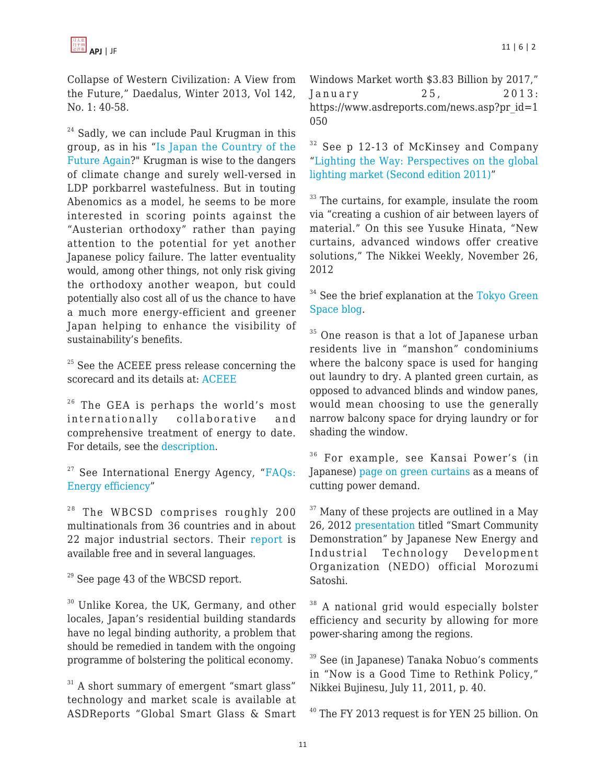Collapse of Western Civilization: A View from the Future," Daedalus, Winter 2013, Vol 142, No. 1: 40-58.

 $24$  Sadly, we can include Paul Krugman in this group, as in his "[Is Japan the Country of the](http://krugman.blogs.nytimes.com/2013/01/11/is-japan-the-country-of-the-future-again/) [Future Again?](http://krugman.blogs.nytimes.com/2013/01/11/is-japan-the-country-of-the-future-again/)" Krugman is wise to the dangers of climate change and surely well-versed in LDP porkbarrel wastefulness. But in touting Abenomics as a model, he seems to be more interested in scoring points against the "Austerian orthodoxy" rather than paying attention to the potential for yet another Japanese policy failure. The latter eventuality would, among other things, not only risk giving the orthodoxy another weapon, but could potentially also cost all of us the chance to have a much more energy-efficient and greener Japan helping to enhance the visibility of sustainability's benefits.

 $25$  See the ACEEE press release concerning the scorecard and its details at: [ACEEE](http://aceee.org/press/2012/07/aceee-united-kingdom-tops-energy-eff)

 $26$  The GEA is perhaps the world's most internationally collaborative and comprehensive treatment of energy to date. For details, see the [description](http://www.iiasa.ac.at/web/home/research/researchPrograms/Energy/Home-GEA.en.html).

 $27$  See International Energy Agency, "[FAQs:](http://www.iea.org/aboutus/faqs/energyefficiency/) [Energy efficiency"](http://www.iea.org/aboutus/faqs/energyefficiency/)

<sup>28</sup> The WBCSD comprises roughly 200 multinationals from 36 countries and in about 22 major industrial sectors. Their [report](http://www.wbcsd.org/transformingthemarketeeb.aspx) is available free and in several languages.

 $29$  See page 43 of the WBCSD report.

<sup>30</sup> Unlike Korea, the UK, Germany, and other locales, Japan's residential building standards have no legal binding authority, a problem that should be remedied in tandem with the ongoing programme of bolstering the political economy.

 $31$  A short summary of emergent "smart glass" technology and market scale is available at ASDReports "Global Smart Glass & Smart

Windows Market worth \$3.83 Billion by 2017," January 25, 2013: https://www.asdreports.com/news.asp?pr\_id=1 050

<sup>32</sup> See p 12-13 of McKinsey and Company "[Lighting the Way: Perspectives on the global](http://ja.scribd.com/doc/101616336/Lighting-the-Way) [lighting market \(Second edition 2011\)](http://ja.scribd.com/doc/101616336/Lighting-the-Way)"

<sup>33</sup> The curtains, for example, insulate the room via "creating a cushion of air between layers of material." On this see Yusuke Hinata, "New curtains, advanced windows offer creative solutions," The Nikkei Weekly, November 26, 2012

<sup>34</sup> See the brief explanation at the [Tokyo Green](http://tokyogreenspace.com/2009/03/31/government/) [Space blog.](http://tokyogreenspace.com/2009/03/31/government/)

<sup>35</sup> One reason is that a lot of Japanese urban residents live in "manshon" condominiums where the balcony space is used for hanging out laundry to dry. A planted green curtain, as opposed to advanced blinds and window panes, would mean choosing to use the generally narrow balcony space for drying laundry or for shading the window.

<sup>36</sup> For example, see Kansai Power's (in Japanese) [page on green curtains](http://www1.kepco.co.jp/kankyou/greencurtain/) as a means of cutting power demand.

 $37$  Many of these projects are outlined in a May 26, 2012 [presentation](http://www.irena.org/documentdownloads/OkinawaMay2012/19_Satoshi%20Morozumi_NEDO.pdf) titled "Smart Community Demonstration" by Japanese New Energy and Industrial Technology Development Organization (NEDO) official Morozumi Satoshi.

<sup>38</sup> A national grid would especially bolster efficiency and security by allowing for more power-sharing among the regions.

<sup>39</sup> See (in Japanese) Tanaka Nobuo's comments in "Now is a Good Time to Rethink Policy," Nikkei Bujinesu, July 11, 2011, p. 40.

<sup>40</sup> The FY 2013 request is for YEN 25 billion. On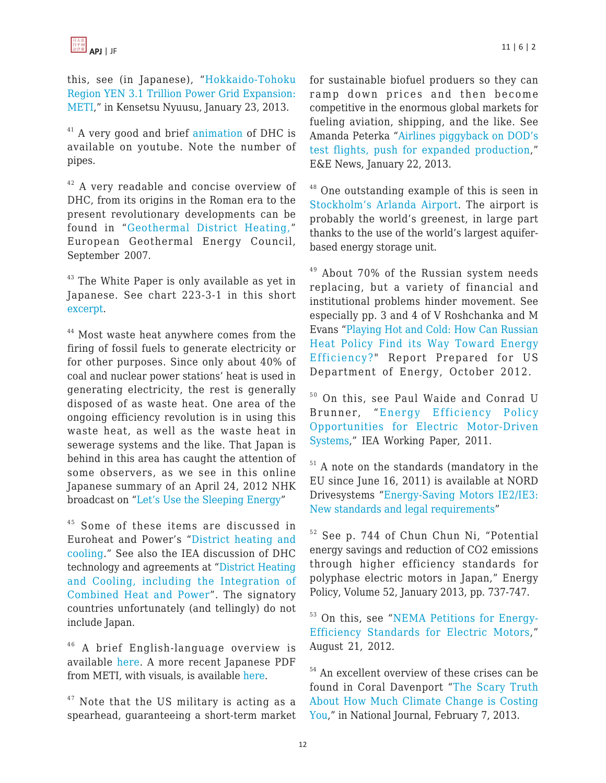this, see (in Japanese), "[Hokkaido-Tohoku](http://www.kensetsunews.com/?p=5768) [Region YEN 3.1 Trillion Power Grid Expansion:](http://www.kensetsunews.com/?p=5768) [METI,](http://www.kensetsunews.com/?p=5768)" in Kensetsu Nyuusu, January 23, 2013.

 $41$  A very good and brief [animation](http://www.youtube.com/watch?v=smirXWp6KTg) of DHC is available on youtube. Note the number of pipes.

 $42$  A very readable and concise overview of DHC, from its origins in the Roman era to the present revolutionary developments can be found in "[Geothermal District Heating,](http://eu-smartcities.eu/sites/all/files/docs/best-practice/Brochure-DISTRICT -HEATING1.pdf)" European Geothermal Energy Council, September 2007.

 $43$  The White Paper is only available as yet in Japanese. See chart 223-3-1 in this short [excerpt](http://www.enecho.meti.go.jp/topics/hakusho/2012energyhtml/2-2-3.html).

<sup>44</sup> Most waste heat anywhere comes from the firing of fossil fuels to generate electricity or for other purposes. Since only about 40% of coal and nuclear power stations' heat is used in generating electricity, the rest is generally disposed of as waste heat. One area of the ongoing efficiency revolution is in using this waste heat, as well as the waste heat in sewerage systems and the like. That Japan is behind in this area has caught the attention of some observers, as we see in this online Japanese summary of an April 24, 2012 NHK broadcast on ["Let's Use the Sleeping Energy"](http://www.nhk.or.jp/gendai/kiroku/detail02_3203_all.html)

 $45$  Some of these items are discussed in Euroheat and Power's "[District heating and](http://www.euroheat.org/District-heating---cooling-4.aspx) [cooling.](http://www.euroheat.org/District-heating---cooling-4.aspx)" See also the IEA discussion of DHC technology and agreements at "[District Heating](http://www.iea.org/techno/iaresults.asp?id_ia=9) [and Cooling, including the Integration of](http://www.iea.org/techno/iaresults.asp?id_ia=9) [Combined Heat and Power](http://www.iea.org/techno/iaresults.asp?id_ia=9)". The signatory countries unfortunately (and tellingly) do not include Japan.

<sup>46</sup> A brief English-language overview is available [here](http://www.enecho.meti.go.jp/topics/hakusho/2012energyhtml/2-2-3.html). A more recent Japanese PDF from METI, with visuals, is available [here.](http://www.enecho.meti.go.jp/info/committee/kihonmondai/29th/29-1.pdf)

 $47$  Note that the US military is acting as a spearhead, guaranteeing a short-term market for sustainable biofuel produers so they can ramp down prices and then become competitive in the enormous global markets for fueling aviation, shipping, and the like. See Amanda Peterka "[Airlines piggyback on DOD's](http://www.eenews.net/public/Greenwire/2013/01/22/5) [test flights, push for expanded production,](http://www.eenews.net/public/Greenwire/2013/01/22/5)" E&E News, January 22, 2013.

<sup>48</sup> One outstanding example of this is seen in [Stockholm's Arlanda Airport.](http://www.swedavia.com/arlanda/about-stockholm-arlanda-airport-/about-stockholm-arlanda-airport/environment/carbon-dioxide-emissions/energy/the-aquifer/) The airport is probably the world's greenest, in large part thanks to the use of the world's largest aquiferbased energy storage unit.

 $49$  About 70% of the Russian system needs replacing, but a variety of financial and institutional problems hinder movement. See especially pp. 3 and 4 of V Roshchanka and M Evans "[Playing Hot and Cold: How Can Russian](http://www.pnnl.gov/main/publications/external/technical_reports/PNNL-21695.pdf) [Heat Policy Find its Way Toward Energy](http://www.pnnl.gov/main/publications/external/technical_reports/PNNL-21695.pdf) [Efficiency?](http://www.pnnl.gov/main/publications/external/technical_reports/PNNL-21695.pdf)" Report Prepared for US Department of Energy, October 2012.

<sup>50</sup> On this, see Paul Waide and Conrad U Brunner, "[Energy Efficiency Policy](http://www.iea.org/publications/freepublications/publication/EE_for_ElectricSystems.pdf) [Opportunities for Electric Motor-Driven](http://www.iea.org/publications/freepublications/publication/EE_for_ElectricSystems.pdf) [Systems,](http://www.iea.org/publications/freepublications/publication/EE_for_ElectricSystems.pdf)" IEA Working Paper, 2011.

<sup>51</sup> A note on the standards (mandatory in the EU since June 16, 2011) is available at NORD Drivesystems "[Energy-Saving Motors IE2/IE3:](http://www.ien.eu/uploads/tx_etim/Page_25_34844.pdf) [New standards and legal requirements](http://www.ien.eu/uploads/tx_etim/Page_25_34844.pdf)"

<sup>52</sup> See p. 744 of Chun Chun Ni, "Potential energy savings and reduction of CO2 emissions through higher efficiency standards for polyphase electric motors in Japan," Energy Policy, Volume 52, January 2013, pp. 737-747.

<sup>53</sup> On this, see "[NEMA Petitions for Energy-](http://www.nema.org/News/Pages/NEMA-Petitions-for-Energy-Efficiency-Standards-for-Electric-Motors.aspx)[Efficiency Standards for Electric Motors,](http://www.nema.org/News/Pages/NEMA-Petitions-for-Energy-Efficiency-Standards-for-Electric-Motors.aspx)" August 21, 2012.

<sup>54</sup> An excellent overview of these crises can be found in Coral Davenport "[The Scary Truth](http://www.nationaljournal.com/magazine/the-scary-truth-about-how-much-climate-change-is-costing-you-20130207) [About How Much Climate Change is Costing](http://www.nationaljournal.com/magazine/the-scary-truth-about-how-much-climate-change-is-costing-you-20130207) [You](http://www.nationaljournal.com/magazine/the-scary-truth-about-how-much-climate-change-is-costing-you-20130207)," in National Journal, February 7, 2013.